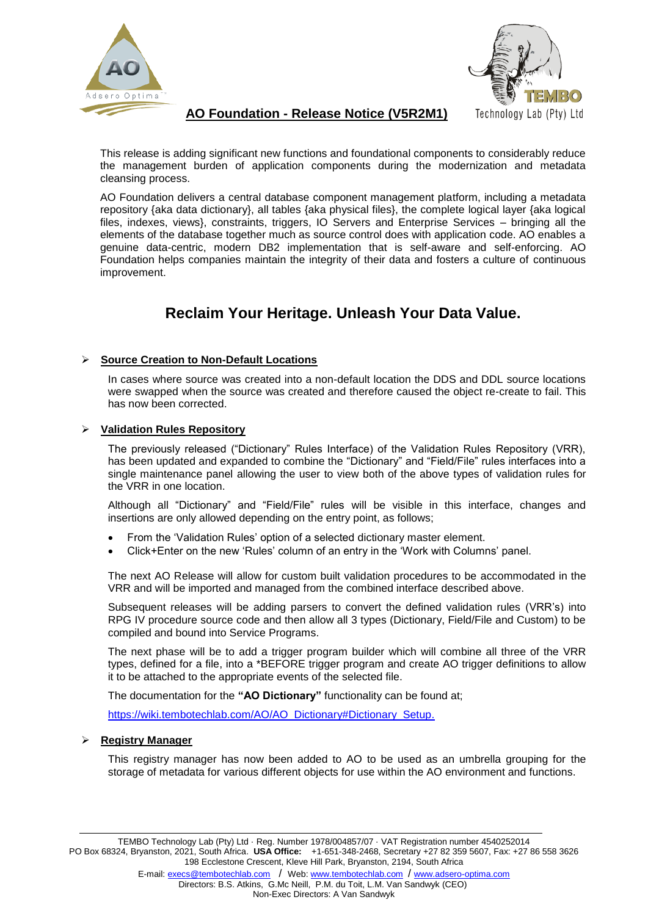



# **AO Foundation - Release Notice (V5R2M1)**

This release is adding significant new functions and foundational components to considerably reduce the management burden of application components during the modernization and metadata cleansing process.

AO Foundation delivers a central database component management platform, including a metadata repository {aka data dictionary}, all tables {aka physical files}, the complete logical layer {aka logical files, indexes, views), constraints, triggers, IO Servers and Enterprise Services – bringing all the elements of the database together much as source control does with application code. AO enables a genuine data-centric, modern DB2 implementation that is self-aware and self-enforcing. AO Foundation helps companies maintain the integrity of their data and fosters a culture of continuous improvement.

# **Reclaim Your Heritage. Unleash Your Data Value.**

# **Source Creation to Non-Default Locations**

In cases where source was created into a non-default location the DDS and DDL source locations were swapped when the source was created and therefore caused the object re-create to fail. This has now been corrected.

#### **Validation Rules Repository**

The previously released ("Dictionary" Rules Interface) of the Validation Rules Repository (VRR), has been updated and expanded to combine the "Dictionary" and "Field/File" rules interfaces into a single maintenance panel allowing the user to view both of the above types of validation rules for the VRR in one location.

Although all "Dictionary" and "Field/File" rules will be visible in this interface, changes and insertions are only allowed depending on the entry point, as follows;

- From the 'Validation Rules' option of a selected dictionary master element.
- Click+Enter on the new 'Rules' column of an entry in the 'Work with Columns' panel.

The next AO Release will allow for custom built validation procedures to be accommodated in the VRR and will be imported and managed from the combined interface described above.

Subsequent releases will be adding parsers to convert the defined validation rules (VRR's) into RPG IV procedure source code and then allow all 3 types (Dictionary, Field/File and Custom) to be compiled and bound into Service Programs.

The next phase will be to add a trigger program builder which will combine all three of the VRR types, defined for a file, into a \*BEFORE trigger program and create AO trigger definitions to allow it to be attached to the appropriate events of the selected file.

The documentation for the **"AO Dictionary"** functionality can be found at;

[https://wiki.tembotechlab.com/AO/AO\\_Dictionary#Dictionary\\_Setup.](https://wiki.tembotechlab.com/AO/AO_Dictionary#Dictionary_Setup)

## **Registry Manager**

This registry manager has now been added to AO to be used as an umbrella grouping for the storage of metadata for various different objects for use within the AO environment and functions.